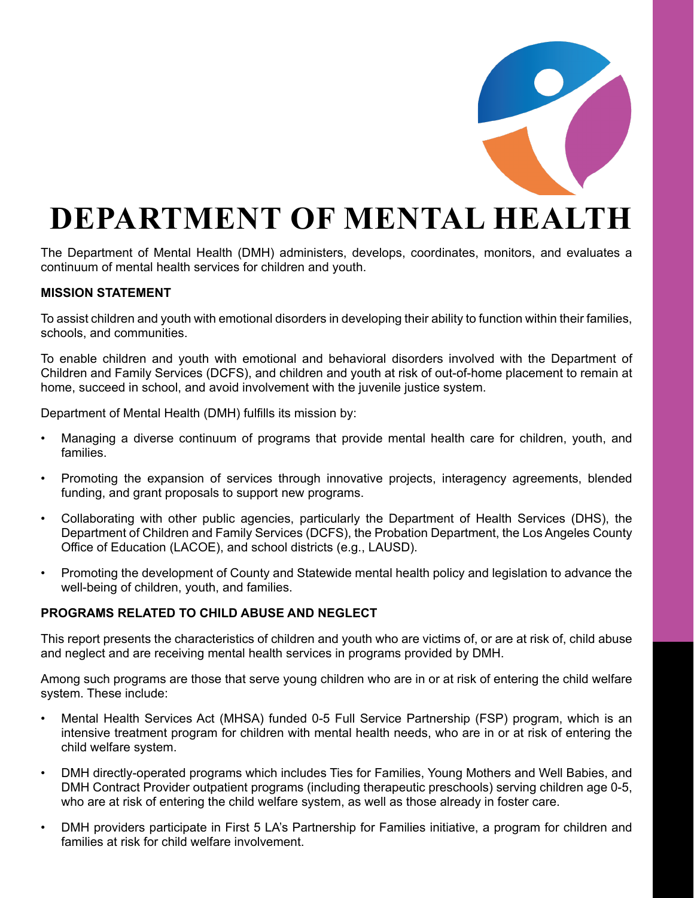

# **DEPARTMENT OF MENTAL HEALTH**

The Department of Mental Health (DMH) administers, develops, coordinates, monitors, and evaluates a continuum of mental health services for children and youth.

## **MISSION STATEMENT**

To assist children and youth with emotional disorders in developing their ability to function within their families, schools, and communities.

To enable children and youth with emotional and behavioral disorders involved with the Department of Children and Family Services (DCFS), and children and youth at risk of out-of-home placement to remain at home, succeed in school, and avoid involvement with the juvenile justice system.

Department of Mental Health (DMH) fulfills its mission by:

- Managing a diverse continuum of programs that provide mental health care for children, youth, and families.
- Promoting the expansion of services through innovative projects, interagency agreements, blended funding, and grant proposals to support new programs.
- Collaborating with other public agencies, particularly the Department of Health Services (DHS), the Department of Children and Family Services (DCFS), the Probation Department, the Los Angeles County Office of Education (LACOE), and school districts (e.g., LAUSD).
- Promoting the development of County and Statewide mental health policy and legislation to advance the well-being of children, youth, and families.

## **PROGRAMS RELATED TO CHILD ABUSE AND NEGLECT**

This report presents the characteristics of children and youth who are victims of, or are at risk of, child abuse and neglect and are receiving mental health services in programs provided by DMH.

Among such programs are those that serve young children who are in or at risk of entering the child welfare system. These include:

- Mental Health Services Act (MHSA) funded 0-5 Full Service Partnership (FSP) program, which is an intensive treatment program for children with mental health needs, who are in or at risk of entering the child welfare system.
- DMH directly-operated programs which includes Ties for Families, Young Mothers and Well Babies, and DMH Contract Provider outpatient programs (including therapeutic preschools) serving children age 0-5, who are at risk of entering the child welfare system, as well as those already in foster care.
- DMH providers participate in First 5 LA's Partnership for Families initiative, a program for children and families at risk for child welfare involvement.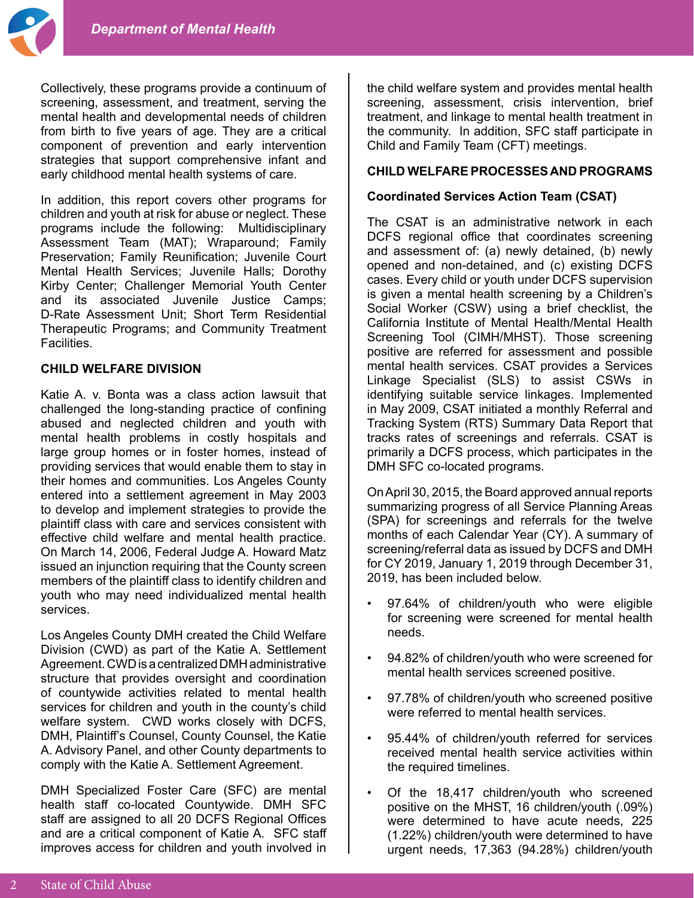Collectively, these programs provide a continuum of screening, assessment, and treatment, serving the mental health and developmental needs of children from birth to five years of age. They are a critical component of prevention and early intervention strategies that support comprehensive infant and early childhood mental health systems of care.

In addition, this report covers other programs for children and youth at risk for abuse or neglect. These programs include the following: Multidisciplinary Assessment Team (MAT); Wraparound; Family Preservation; Family Reunification; Juvenile Court Mental Health Services; Juvenile Halls; Dorothy Kirby Center; Challenger Memorial Youth Center and its associated Juvenile Justice Camps; D-Rate Assessment Unit; Short Term Residential Therapeutic Programs; and Community Treatment Facilities.

## **CHILD WELFARE DIVISION**

Katie A. v. Bonta was a class action lawsuit that challenged the long-standing practice of confining abused and neglected children and youth with mental health problems in costly hospitals and large group homes or in foster homes, instead of providing services that would enable them to stay in their homes and communities. Los Angeles County entered into a settlement agreement in May 2003 to develop and implement strategies to provide the plaintiff class with care and services consistent with effective child welfare and mental health practice. On March 14, 2006, Federal Judge A. Howard Matz issued an injunction requiring that the County screen members of the plaintiff class to identify children and youth who may need individualized mental health services.

Los Angeles County DMH created the Child Welfare Division (CWD) as part of the Katie A. Settlement Agreement. CWD is a centralized DMH administrative structure that provides oversight and coordination of countywide activities related to mental health services for children and youth in the county's child welfare system. CWD works closely with DCFS, DMH, Plaintiff's Counsel, County Counsel, the Katie A. Advisory Panel, and other County departments to comply with the Katie A. Settlement Agreement.

DMH Specialized Foster Care (SFC) are mental health staff co-located Countywide. DMH SFC staff are assigned to all 20 DCFS Regional Offices and are a critical component of Katie A. SFC staff improves access for children and youth involved in

the child welfare system and provides mental health screening, assessment, crisis intervention, brief treatment, and linkage to mental health treatment in the community. In addition, SFC staff participate in Child and Family Team (CFT) meetings.

## **CHILD WELFARE PROCESSES AND PROGRAMS**

## **Coordinated Services Action Team (CSAT)**

The CSAT is an administrative network in each DCFS regional office that coordinates screening and assessment of: (a) newly detained, (b) newly opened and non-detained, and (c) existing DCFS cases. Every child or youth under DCFS supervision is given a mental health screening by a Children's Social Worker (CSW) using a brief checklist, the California Institute of Mental Health/Mental Health Screening Tool (CIMH/MHST). Those screening positive are referred for assessment and possible mental health services. CSAT provides a Services Linkage Specialist (SLS) to assist CSWs in identifying suitable service linkages. Implemented in May 2009, CSAT initiated a monthly Referral and Tracking System (RTS) Summary Data Report that tracks rates of screenings and referrals. CSAT is primarily a DCFS process, which participates in the DMH SFC co-located programs.

On April 30, 2015, the Board approved annual reports summarizing progress of all Service Planning Areas (SPA) for screenings and referrals for the twelve months of each Calendar Year (CY). A summary of screening/referral data as issued by DCFS and DMH for CY 2019, January 1, 2019 through December 31, 2019, has been included below.

- 97.64% of children/youth who were eligible for screening were screened for mental health needs.
- 94.82% of children/youth who were screened for mental health services screened positive.
- 97.78% of children/youth who screened positive were referred to mental health services.
- 95.44% of children/youth referred for services received mental health service activities within the required timelines.
- Of the 18,417 children/youth who screened positive on the MHST, 16 children/youth (.09%) were determined to have acute needs, 225 (1.22%) children/youth were determined to have urgent needs, 17,363 (94.28%) children/youth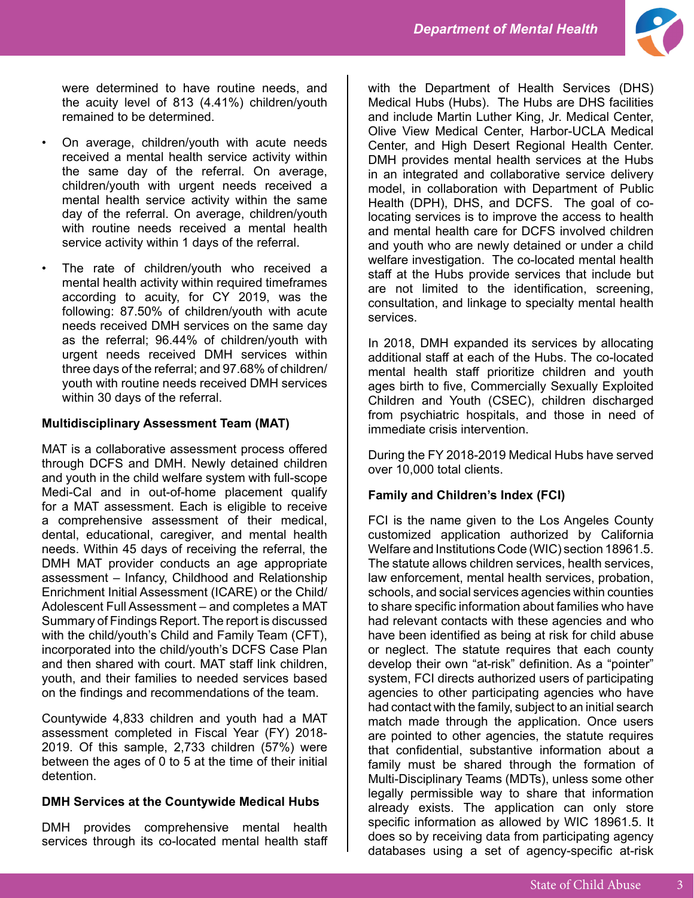

were determined to have routine needs, and the acuity level of 813 (4.41%) children/youth remained to be determined.

- On average, children/youth with acute needs received a mental health service activity within the same day of the referral. On average, children/youth with urgent needs received a mental health service activity within the same day of the referral. On average, children/youth with routine needs received a mental health service activity within 1 days of the referral.
- The rate of children/youth who received a mental health activity within required timeframes according to acuity, for CY 2019, was the following: 87.50% of children/youth with acute needs received DMH services on the same day as the referral; 96.44% of children/youth with urgent needs received DMH services within three days of the referral; and 97.68% of children/ youth with routine needs received DMH services within 30 days of the referral.

## **Multidisciplinary Assessment Team (MAT)**

MAT is a collaborative assessment process offered through DCFS and DMH. Newly detained children and youth in the child welfare system with full-scope Medi-Cal and in out-of-home placement qualify for a MAT assessment. Each is eligible to receive a comprehensive assessment of their medical, dental, educational, caregiver, and mental health needs. Within 45 days of receiving the referral, the DMH MAT provider conducts an age appropriate assessment – Infancy, Childhood and Relationship Enrichment Initial Assessment (ICARE) or the Child/ Adolescent Full Assessment – and completes a MAT Summary of Findings Report. The report is discussed with the child/youth's Child and Family Team (CFT), incorporated into the child/youth's DCFS Case Plan and then shared with court. MAT staff link children, youth, and their families to needed services based on the findings and recommendations of the team.

Countywide 4,833 children and youth had a MAT assessment completed in Fiscal Year (FY) 2018- 2019. Of this sample, 2,733 children (57%) were between the ages of 0 to 5 at the time of their initial detention.

# **DMH Services at the Countywide Medical Hubs**

DMH provides comprehensive mental health services through its co-located mental health staff with the Department of Health Services (DHS) Medical Hubs (Hubs). The Hubs are DHS facilities and include Martin Luther King, Jr. Medical Center, Olive View Medical Center, Harbor-UCLA Medical Center, and High Desert Regional Health Center. DMH provides mental health services at the Hubs in an integrated and collaborative service delivery model, in collaboration with Department of Public Health (DPH), DHS, and DCFS. The goal of colocating services is to improve the access to health and mental health care for DCFS involved children and youth who are newly detained or under a child welfare investigation. The co-located mental health staff at the Hubs provide services that include but are not limited to the identification, screening, consultation, and linkage to specialty mental health services.

In 2018, DMH expanded its services by allocating additional staff at each of the Hubs. The co-located mental health staff prioritize children and youth ages birth to five, Commercially Sexually Exploited Children and Youth (CSEC), children discharged from psychiatric hospitals, and those in need of immediate crisis intervention.

During the FY 2018-2019 Medical Hubs have served over 10,000 total clients.

# **Family and Children's Index (FCI)**

FCI is the name given to the Los Angeles County customized application authorized by California Welfare and Institutions Code (WIC) section 18961.5. The statute allows children services, health services, law enforcement, mental health services, probation, schools, and social services agencies within counties to share specific information about families who have had relevant contacts with these agencies and who have been identified as being at risk for child abuse or neglect. The statute requires that each county develop their own "at-risk" definition. As a "pointer" system, FCI directs authorized users of participating agencies to other participating agencies who have had contact with the family, subject to an initial search match made through the application. Once users are pointed to other agencies, the statute requires that confidential, substantive information about a family must be shared through the formation of Multi-Disciplinary Teams (MDTs), unless some other legally permissible way to share that information already exists. The application can only store specific information as allowed by WIC 18961.5. It does so by receiving data from participating agency databases using a set of agency-specific at-risk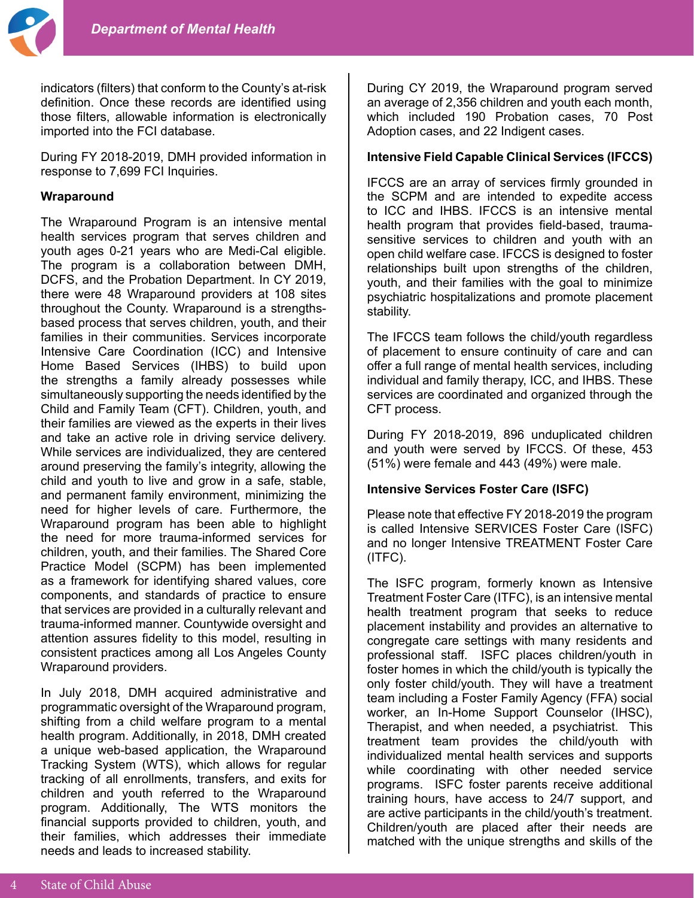

indicators (filters) that conform to the County's at-risk definition. Once these records are identified using those filters, allowable information is electronically imported into the FCI database.

During FY 2018-2019, DMH provided information in response to 7,699 FCI Inquiries.

#### **Wraparound**

The Wraparound Program is an intensive mental health services program that serves children and youth ages 0-21 years who are Medi-Cal eligible. The program is a collaboration between DMH, DCFS, and the Probation Department. In CY 2019, there were 48 Wraparound providers at 108 sites throughout the County. Wraparound is a strengthsbased process that serves children, youth, and their families in their communities. Services incorporate Intensive Care Coordination (ICC) and Intensive Home Based Services (IHBS) to build upon the strengths a family already possesses while simultaneously supporting the needs identified by the Child and Family Team (CFT). Children, youth, and their families are viewed as the experts in their lives and take an active role in driving service delivery. While services are individualized, they are centered around preserving the family's integrity, allowing the child and youth to live and grow in a safe, stable, and permanent family environment, minimizing the need for higher levels of care. Furthermore, the Wraparound program has been able to highlight the need for more trauma-informed services for children, youth, and their families. The Shared Core Practice Model (SCPM) has been implemented as a framework for identifying shared values, core components, and standards of practice to ensure that services are provided in a culturally relevant and trauma-informed manner. Countywide oversight and attention assures fidelity to this model, resulting in consistent practices among all Los Angeles County Wraparound providers.

In July 2018, DMH acquired administrative and programmatic oversight of the Wraparound program, shifting from a child welfare program to a mental health program. Additionally, in 2018, DMH created a unique web-based application, the Wraparound Tracking System (WTS), which allows for regular tracking of all enrollments, transfers, and exits for children and youth referred to the Wraparound program. Additionally, The WTS monitors the financial supports provided to children, youth, and their families, which addresses their immediate needs and leads to increased stability.

During CY 2019, the Wraparound program served an average of 2,356 children and youth each month, which included 190 Probation cases, 70 Post Adoption cases, and 22 Indigent cases.

## **Intensive Field Capable Clinical Services (IFCCS)**

IFCCS are an array of services firmly grounded in the SCPM and are intended to expedite access to ICC and IHBS. IFCCS is an intensive mental health program that provides field-based, traumasensitive services to children and youth with an open child welfare case. IFCCS is designed to foster relationships built upon strengths of the children, youth, and their families with the goal to minimize psychiatric hospitalizations and promote placement stability.

The IFCCS team follows the child/youth regardless of placement to ensure continuity of care and can offer a full range of mental health services, including individual and family therapy, ICC, and IHBS. These services are coordinated and organized through the CFT process.

During FY 2018-2019, 896 unduplicated children and youth were served by IFCCS. Of these, 453 (51%) were female and 443 (49%) were male.

#### **Intensive Services Foster Care (ISFC)**

Please note that effective FY 2018-2019 the program is called Intensive SERVICES Foster Care (ISFC) and no longer Intensive TREATMENT Foster Care (ITFC).

The ISFC program, formerly known as Intensive Treatment Foster Care (ITFC), is an intensive mental health treatment program that seeks to reduce placement instability and provides an alternative to congregate care settings with many residents and professional staff. ISFC places children/youth in foster homes in which the child/youth is typically the only foster child/youth. They will have a treatment team including a Foster Family Agency (FFA) social worker, an In-Home Support Counselor (IHSC), Therapist, and when needed, a psychiatrist. This treatment team provides the child/youth with individualized mental health services and supports while coordinating with other needed service programs. ISFC foster parents receive additional training hours, have access to 24/7 support, and are active participants in the child/youth's treatment. Children/youth are placed after their needs are matched with the unique strengths and skills of the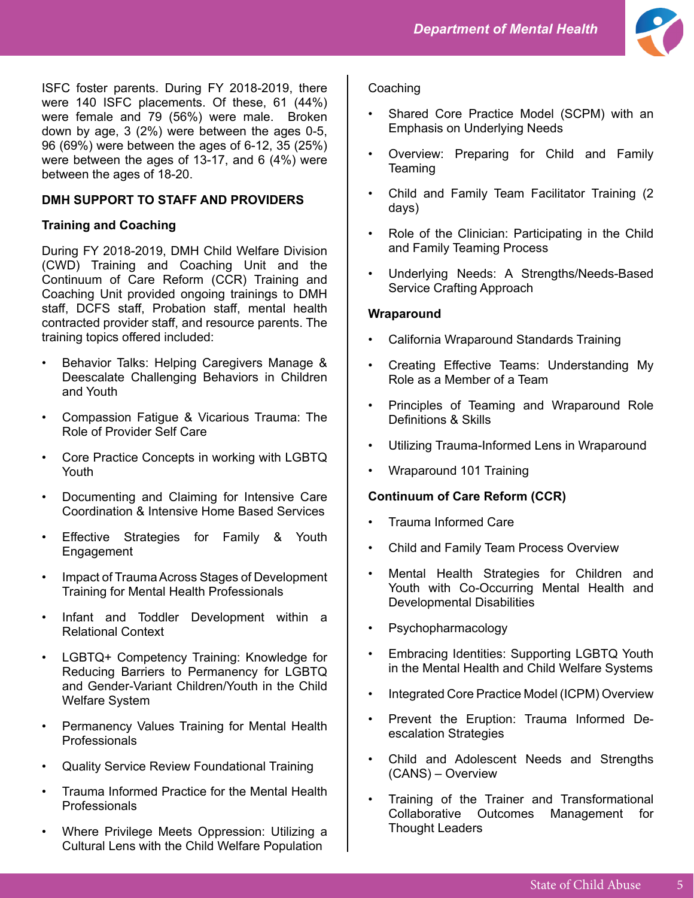

ISFC foster parents. During FY 2018-2019, there were 140 ISFC placements. Of these, 61 (44%) were female and 79 (56%) were male. Broken down by age, 3 (2%) were between the ages 0-5, 96 (69%) were between the ages of 6-12, 35 (25%) were between the ages of 13-17, and 6 (4%) were between the ages of 18-20.

## **DMH SUPPORT TO STAFF AND PROVIDERS**

## **Training and Coaching**

During FY 2018-2019, DMH Child Welfare Division (CWD) Training and Coaching Unit and the Continuum of Care Reform (CCR) Training and Coaching Unit provided ongoing trainings to DMH staff, DCFS staff, Probation staff, mental health contracted provider staff, and resource parents. The training topics offered included:

- Behavior Talks: Helping Caregivers Manage & Deescalate Challenging Behaviors in Children and Youth
- Compassion Fatigue & Vicarious Trauma: The Role of Provider Self Care
- Core Practice Concepts in working with LGBTQ Youth
- Documenting and Claiming for Intensive Care Coordination & Intensive Home Based Services
- Effective Strategies for Family & Youth Engagement
- Impact of Trauma Across Stages of Development Training for Mental Health Professionals
- Infant and Toddler Development within a Relational Context
- LGBTQ+ Competency Training: Knowledge for Reducing Barriers to Permanency for LGBTQ and Gender-Variant Children/Youth in the Child Welfare System
- Permanency Values Training for Mental Health Professionals
- Quality Service Review Foundational Training
- Trauma Informed Practice for the Mental Health Professionals
- Where Privilege Meets Oppression: Utilizing a Cultural Lens with the Child Welfare Population

## **Coaching**

- Shared Core Practice Model (SCPM) with an Emphasis on Underlying Needs
- Overview: Preparing for Child and Family **Teaming**
- Child and Family Team Facilitator Training (2 days)
- Role of the Clinician: Participating in the Child and Family Teaming Process
- Underlying Needs: A Strengths/Needs-Based Service Crafting Approach

## **Wraparound**

- California Wraparound Standards Training
- Creating Effective Teams: Understanding My Role as a Member of a Team
- Principles of Teaming and Wraparound Role Definitions & Skills
- Utilizing Trauma-Informed Lens in Wraparound
- Wraparound 101 Training

## **Continuum of Care Reform (CCR)**

- Trauma Informed Care
- Child and Family Team Process Overview
- Mental Health Strategies for Children and Youth with Co-Occurring Mental Health and Developmental Disabilities
- Psychopharmacology
- Embracing Identities: Supporting LGBTQ Youth in the Mental Health and Child Welfare Systems
- Integrated Core Practice Model (ICPM) Overview
- Prevent the Eruption: Trauma Informed Deescalation Strategies
- Child and Adolescent Needs and Strengths (CANS) – Overview
- Training of the Trainer and Transformational Collaborative Outcomes Management for Thought Leaders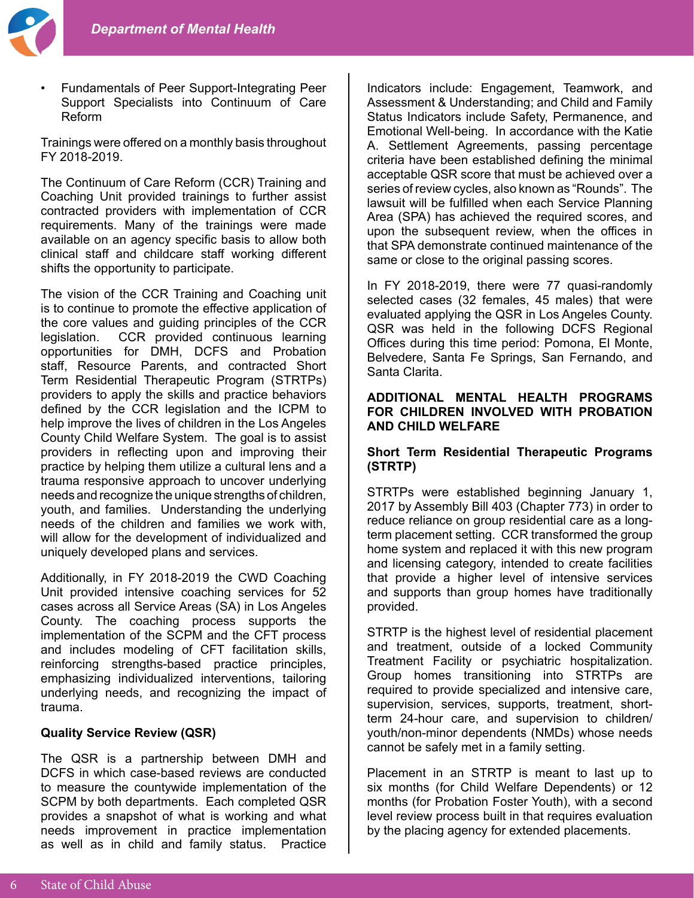

• Fundamentals of Peer Support-Integrating Peer Support Specialists into Continuum of Care Reform

Trainings were offered on a monthly basis throughout FY 2018-2019.

The Continuum of Care Reform (CCR) Training and Coaching Unit provided trainings to further assist contracted providers with implementation of CCR requirements. Many of the trainings were made available on an agency specific basis to allow both clinical staff and childcare staff working different shifts the opportunity to participate.

The vision of the CCR Training and Coaching unit is to continue to promote the effective application of the core values and guiding principles of the CCR legislation. CCR provided continuous learning opportunities for DMH, DCFS and Probation staff, Resource Parents, and contracted Short Term Residential Therapeutic Program (STRTPs) providers to apply the skills and practice behaviors defined by the CCR legislation and the ICPM to help improve the lives of children in the Los Angeles County Child Welfare System. The goal is to assist providers in reflecting upon and improving their practice by helping them utilize a cultural lens and a trauma responsive approach to uncover underlying needs and recognize the unique strengths of children, youth, and families. Understanding the underlying needs of the children and families we work with, will allow for the development of individualized and uniquely developed plans and services.

Additionally, in FY 2018-2019 the CWD Coaching Unit provided intensive coaching services for 52 cases across all Service Areas (SA) in Los Angeles County. The coaching process supports the implementation of the SCPM and the CFT process and includes modeling of CFT facilitation skills, reinforcing strengths-based practice principles, emphasizing individualized interventions, tailoring underlying needs, and recognizing the impact of trauma.

#### **Quality Service Review (QSR)**

The QSR is a partnership between DMH and DCFS in which case-based reviews are conducted to measure the countywide implementation of the SCPM by both departments. Each completed QSR provides a snapshot of what is working and what needs improvement in practice implementation as well as in child and family status. Practice

Indicators include: Engagement, Teamwork, and Assessment & Understanding; and Child and Family Status Indicators include Safety, Permanence, and Emotional Well-being. In accordance with the Katie A. Settlement Agreements, passing percentage criteria have been established defining the minimal acceptable QSR score that must be achieved over a series of review cycles, also known as "Rounds". The lawsuit will be fulfilled when each Service Planning Area (SPA) has achieved the required scores, and upon the subsequent review, when the offices in that SPA demonstrate continued maintenance of the same or close to the original passing scores.

In FY 2018-2019, there were 77 quasi-randomly selected cases (32 females, 45 males) that were evaluated applying the QSR in Los Angeles County. QSR was held in the following DCFS Regional Offices during this time period: Pomona, El Monte, Belvedere, Santa Fe Springs, San Fernando, and Santa Clarita.

#### **ADDITIONAL MENTAL HEALTH PROGRAMS FOR CHILDREN INVOLVED WITH PROBATION AND CHILD WELFARE**

#### **Short Term Residential Therapeutic Programs (STRTP)**

STRTPs were established beginning January 1, 2017 by Assembly Bill 403 (Chapter 773) in order to reduce reliance on group residential care as a longterm placement setting. CCR transformed the group home system and replaced it with this new program and licensing category, intended to create facilities that provide a higher level of intensive services and supports than group homes have traditionally provided.

STRTP is the highest level of residential placement and treatment, outside of a locked Community Treatment Facility or psychiatric hospitalization. Group homes transitioning into STRTPs are required to provide specialized and intensive care, supervision, services, supports, treatment, shortterm 24-hour care, and supervision to children/ youth/non-minor dependents (NMDs) whose needs cannot be safely met in a family setting.

Placement in an STRTP is meant to last up to six months (for Child Welfare Dependents) or 12 months (for Probation Foster Youth), with a second level review process built in that requires evaluation by the placing agency for extended placements.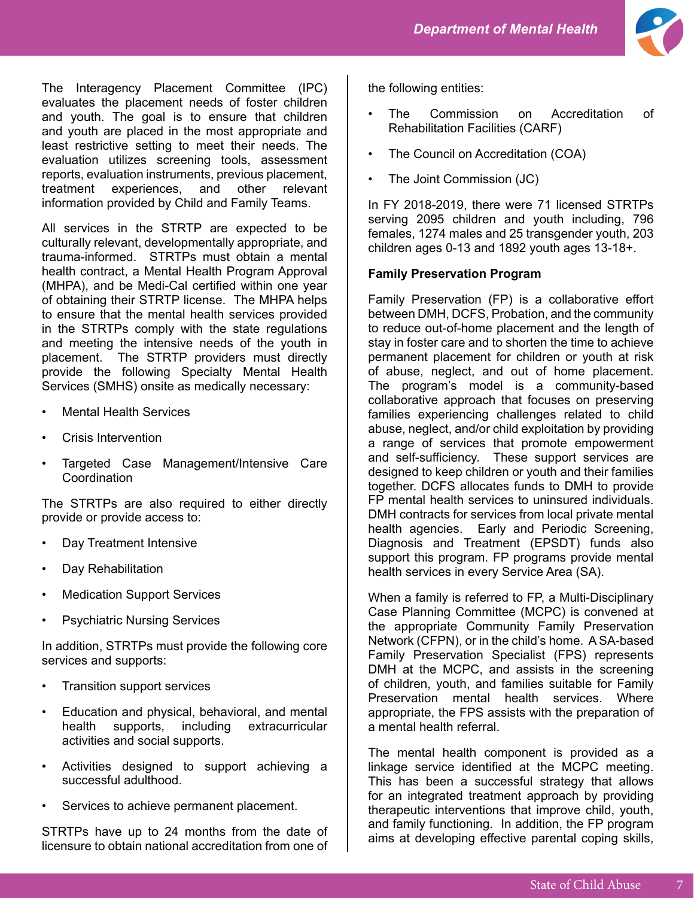

The Interagency Placement Committee (IPC) evaluates the placement needs of foster children and youth. The goal is to ensure that children and youth are placed in the most appropriate and least restrictive setting to meet their needs. The evaluation utilizes screening tools, assessment reports, evaluation instruments, previous placement, treatment experiences, and other relevant information provided by Child and Family Teams.

All services in the STRTP are expected to be culturally relevant, developmentally appropriate, and trauma-informed. STRTPs must obtain a mental health contract, a Mental Health Program Approval (MHPA), and be Medi-Cal certified within one year of obtaining their STRTP license. The MHPA helps to ensure that the mental health services provided in the STRTPs comply with the state regulations and meeting the intensive needs of the youth in placement. The STRTP providers must directly provide the following Specialty Mental Health Services (SMHS) onsite as medically necessary:

- **Mental Health Services**
- Crisis Intervention
- Targeted Case Management/Intensive Care **Coordination**

The STRTPs are also required to either directly provide or provide access to:

- Day Treatment Intensive
- Day Rehabilitation
- **Medication Support Services**
- Psychiatric Nursing Services

In addition, STRTPs must provide the following core services and supports:

- Transition support services
- Education and physical, behavioral, and mental health supports, including extracurricular activities and social supports.
- Activities designed to support achieving a successful adulthood.
- Services to achieve permanent placement.

STRTPs have up to 24 months from the date of licensure to obtain national accreditation from one of the following entities:

- The Commission on Accreditation of Rehabilitation Facilities (CARF)
- The Council on Accreditation (COA)
- The Joint Commission (JC)

In FY 2018-2019, there were 71 licensed STRTPs serving 2095 children and youth including, 796 females, 1274 males and 25 transgender youth, 203 children ages 0-13 and 1892 youth ages 13-18+.

#### **Family Preservation Program**

Family Preservation (FP) is a collaborative effort between DMH, DCFS, Probation, and the community to reduce out-of-home placement and the length of stay in foster care and to shorten the time to achieve permanent placement for children or youth at risk of abuse, neglect, and out of home placement. The program's model is a community-based collaborative approach that focuses on preserving families experiencing challenges related to child abuse, neglect, and/or child exploitation by providing a range of services that promote empowerment and self-sufficiency. These support services are designed to keep children or youth and their families together. DCFS allocates funds to DMH to provide FP mental health services to uninsured individuals. DMH contracts for services from local private mental health agencies. Early and Periodic Screening, Diagnosis and Treatment (EPSDT) funds also support this program. FP programs provide mental health services in every Service Area (SA).

When a family is referred to FP, a Multi-Disciplinary Case Planning Committee (MCPC) is convened at the appropriate Community Family Preservation Network (CFPN), or in the child's home. A SA-based Family Preservation Specialist (FPS) represents DMH at the MCPC, and assists in the screening of children, youth, and families suitable for Family Preservation mental health services. Where appropriate, the FPS assists with the preparation of a mental health referral.

The mental health component is provided as a linkage service identified at the MCPC meeting. This has been a successful strategy that allows for an integrated treatment approach by providing therapeutic interventions that improve child, youth, and family functioning. In addition, the FP program aims at developing effective parental coping skills,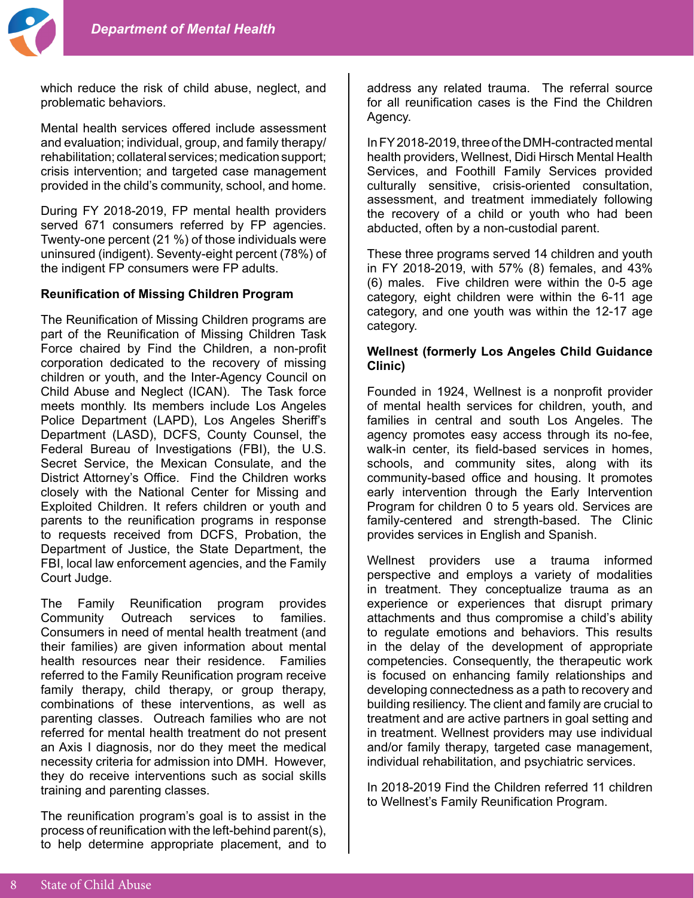

which reduce the risk of child abuse, neglect, and problematic behaviors.

Mental health services offered include assessment and evaluation; individual, group, and family therapy/ rehabilitation; collateral services; medication support; crisis intervention; and targeted case management provided in the child's community, school, and home.

During FY 2018-2019, FP mental health providers served 671 consumers referred by FP agencies. Twenty-one percent (21 %) of those individuals were uninsured (indigent). Seventy-eight percent (78%) of the indigent FP consumers were FP adults.

## **Reunification of Missing Children Program**

The Reunification of Missing Children programs are part of the Reunification of Missing Children Task Force chaired by Find the Children, a non-profit corporation dedicated to the recovery of missing children or youth, and the Inter-Agency Council on Child Abuse and Neglect (ICAN). The Task force meets monthly. Its members include Los Angeles Police Department (LAPD), Los Angeles Sheriff's Department (LASD), DCFS, County Counsel, the Federal Bureau of Investigations (FBI), the U.S. Secret Service, the Mexican Consulate, and the District Attorney's Office. Find the Children works closely with the National Center for Missing and Exploited Children. It refers children or youth and parents to the reunification programs in response to requests received from DCFS, Probation, the Department of Justice, the State Department, the FBI, local law enforcement agencies, and the Family Court Judge.

The Family Reunification program provides<br>Community Outreach services to families. Community Outreach services to families. Consumers in need of mental health treatment (and their families) are given information about mental health resources near their residence. Families referred to the Family Reunification program receive family therapy, child therapy, or group therapy, combinations of these interventions, as well as parenting classes. Outreach families who are not referred for mental health treatment do not present an Axis I diagnosis, nor do they meet the medical necessity criteria for admission into DMH. However, they do receive interventions such as social skills training and parenting classes.

The reunification program's goal is to assist in the process of reunification with the left-behind parent(s), to help determine appropriate placement, and to

address any related trauma. The referral source for all reunification cases is the Find the Children Agency.

In FY 2018-2019, three of the DMH-contracted mental health providers, Wellnest, Didi Hirsch Mental Health Services, and Foothill Family Services provided culturally sensitive, crisis-oriented consultation, assessment, and treatment immediately following the recovery of a child or youth who had been abducted, often by a non-custodial parent.

These three programs served 14 children and youth in FY 2018-2019, with 57% (8) females, and 43% (6) males. Five children were within the 0-5 age category, eight children were within the 6-11 age category, and one youth was within the 12-17 age category.

## **Wellnest (formerly Los Angeles Child Guidance Clinic)**

Founded in 1924, Wellnest is a nonprofit provider of mental health services for children, youth, and families in central and south Los Angeles. The agency promotes easy access through its no-fee, walk-in center, its field-based services in homes, schools, and community sites, along with its community-based office and housing. It promotes early intervention through the Early Intervention Program for children 0 to 5 years old. Services are family-centered and strength-based. The Clinic provides services in English and Spanish.

Wellnest providers use a trauma informed perspective and employs a variety of modalities in treatment. They conceptualize trauma as an experience or experiences that disrupt primary attachments and thus compromise a child's ability to regulate emotions and behaviors. This results in the delay of the development of appropriate competencies. Consequently, the therapeutic work is focused on enhancing family relationships and developing connectedness as a path to recovery and building resiliency. The client and family are crucial to treatment and are active partners in goal setting and in treatment. Wellnest providers may use individual and/or family therapy, targeted case management, individual rehabilitation, and psychiatric services.

In 2018-2019 Find the Children referred 11 children to Wellnest's Family Reunification Program.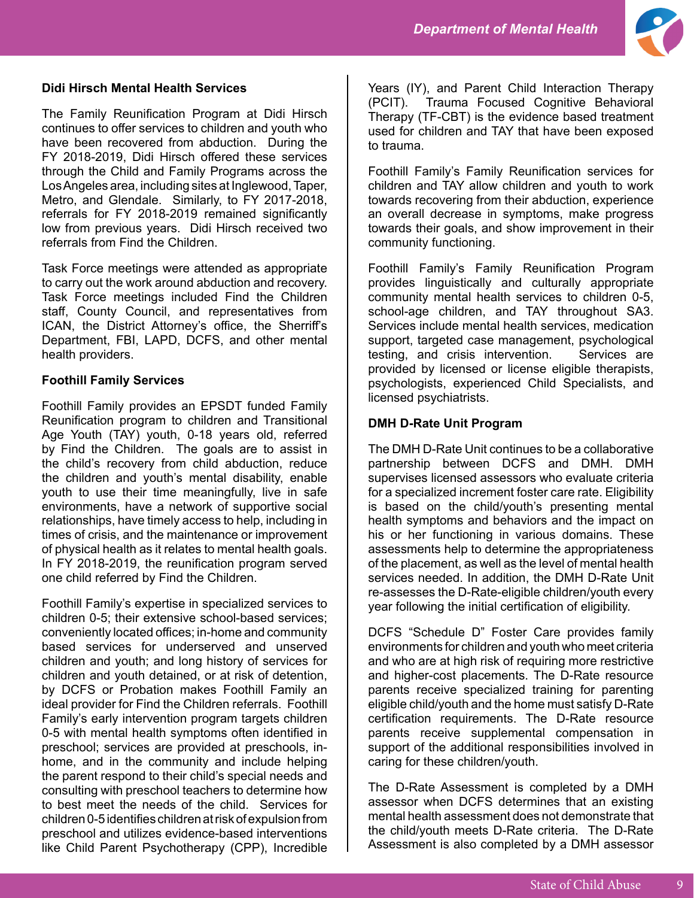

## **Didi Hirsch Mental Health Services**

The Family Reunification Program at Didi Hirsch continues to offer services to children and youth who have been recovered from abduction. During the FY 2018-2019, Didi Hirsch offered these services through the Child and Family Programs across the Los Angeles area, including sites at Inglewood, Taper, Metro, and Glendale. Similarly, to FY 2017-2018, referrals for FY 2018-2019 remained significantly low from previous years. Didi Hirsch received two referrals from Find the Children.

Task Force meetings were attended as appropriate to carry out the work around abduction and recovery. Task Force meetings included Find the Children staff, County Council, and representatives from ICAN, the District Attorney's office, the Sherriff's Department, FBI, LAPD, DCFS, and other mental health providers.

## **Foothill Family Services**

Foothill Family provides an EPSDT funded Family Reunification program to children and Transitional Age Youth (TAY) youth, 0-18 years old, referred by Find the Children. The goals are to assist in the child's recovery from child abduction, reduce the children and youth's mental disability, enable youth to use their time meaningfully, live in safe environments, have a network of supportive social relationships, have timely access to help, including in times of crisis, and the maintenance or improvement of physical health as it relates to mental health goals. In FY 2018-2019, the reunification program served one child referred by Find the Children.

Foothill Family's expertise in specialized services to children 0-5; their extensive school-based services; conveniently located offices; in-home and community based services for underserved and unserved children and youth; and long history of services for children and youth detained, or at risk of detention, by DCFS or Probation makes Foothill Family an ideal provider for Find the Children referrals. Foothill Family's early intervention program targets children 0-5 with mental health symptoms often identified in preschool; services are provided at preschools, inhome, and in the community and include helping the parent respond to their child's special needs and consulting with preschool teachers to determine how to best meet the needs of the child. Services for children 0-5 identifies children at risk of expulsion from preschool and utilizes evidence-based interventions like Child Parent Psychotherapy (CPP), Incredible

Years (IY), and Parent Child Interaction Therapy (PCIT). Trauma Focused Cognitive Behavioral Therapy (TF-CBT) is the evidence based treatment used for children and TAY that have been exposed to trauma.

Foothill Family's Family Reunification services for children and TAY allow children and youth to work towards recovering from their abduction, experience an overall decrease in symptoms, make progress towards their goals, and show improvement in their community functioning.

Foothill Family's Family Reunification Program provides linguistically and culturally appropriate community mental health services to children 0-5, school-age children, and TAY throughout SA3. Services include mental health services, medication support, targeted case management, psychological testing, and crisis intervention. Services are provided by licensed or license eligible therapists, psychologists, experienced Child Specialists, and licensed psychiatrists.

## **DMH D-Rate Unit Program**

The DMH D-Rate Unit continues to be a collaborative partnership between DCFS and DMH. DMH supervises licensed assessors who evaluate criteria for a specialized increment foster care rate. Eligibility is based on the child/youth's presenting mental health symptoms and behaviors and the impact on his or her functioning in various domains. These assessments help to determine the appropriateness of the placement, as well as the level of mental health services needed. In addition, the DMH D-Rate Unit re-assesses the D-Rate-eligible children/youth every year following the initial certification of eligibility.

DCFS "Schedule D" Foster Care provides family environments for children and youth who meet criteria and who are at high risk of requiring more restrictive and higher-cost placements. The D-Rate resource parents receive specialized training for parenting eligible child/youth and the home must satisfy D-Rate certification requirements. The D-Rate resource parents receive supplemental compensation in support of the additional responsibilities involved in caring for these children/youth.

The D-Rate Assessment is completed by a DMH assessor when DCFS determines that an existing mental health assessment does not demonstrate that the child/youth meets D-Rate criteria. The D-Rate Assessment is also completed by a DMH assessor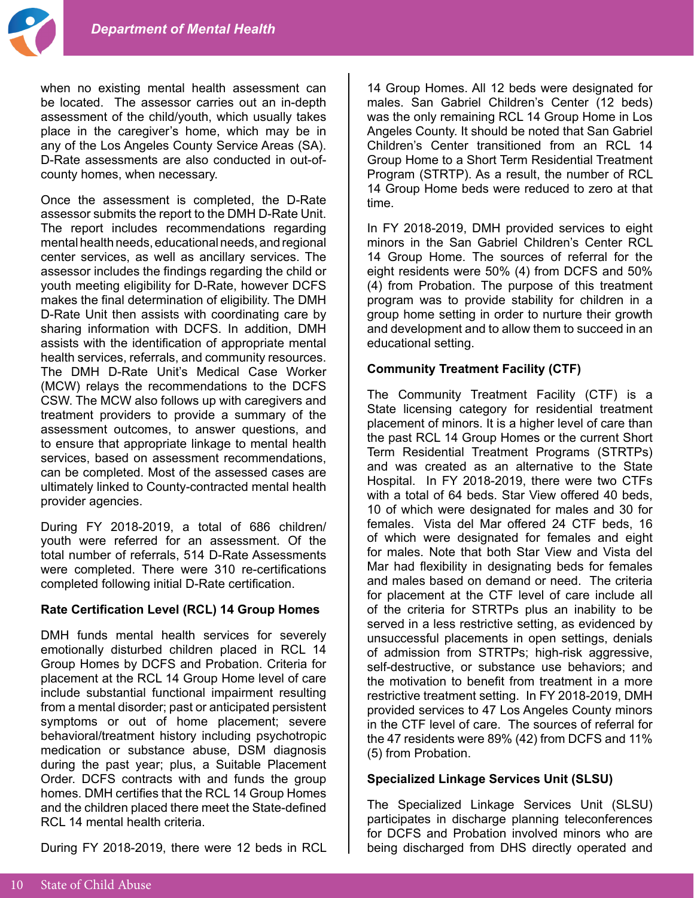when no existing mental health assessment can be located. The assessor carries out an in-depth assessment of the child/youth, which usually takes place in the caregiver's home, which may be in any of the Los Angeles County Service Areas (SA). D-Rate assessments are also conducted in out-ofcounty homes, when necessary.

Once the assessment is completed, the D-Rate assessor submits the report to the DMH D-Rate Unit. The report includes recommendations regarding mental health needs, educational needs, and regional center services, as well as ancillary services. The assessor includes the findings regarding the child or youth meeting eligibility for D-Rate, however DCFS makes the final determination of eligibility. The DMH D-Rate Unit then assists with coordinating care by sharing information with DCFS. In addition, DMH assists with the identification of appropriate mental health services, referrals, and community resources. The DMH D-Rate Unit's Medical Case Worker (MCW) relays the recommendations to the DCFS CSW. The MCW also follows up with caregivers and treatment providers to provide a summary of the assessment outcomes, to answer questions, and to ensure that appropriate linkage to mental health services, based on assessment recommendations, can be completed. Most of the assessed cases are ultimately linked to County-contracted mental health provider agencies.

During FY 2018-2019, a total of 686 children/ youth were referred for an assessment. Of the total number of referrals, 514 D-Rate Assessments were completed. There were 310 re-certifications completed following initial D-Rate certification.

## **Rate Certification Level (RCL) 14 Group Homes**

DMH funds mental health services for severely emotionally disturbed children placed in RCL 14 Group Homes by DCFS and Probation. Criteria for placement at the RCL 14 Group Home level of care include substantial functional impairment resulting from a mental disorder; past or anticipated persistent symptoms or out of home placement; severe behavioral/treatment history including psychotropic medication or substance abuse, DSM diagnosis during the past year; plus, a Suitable Placement Order. DCFS contracts with and funds the group homes. DMH certifies that the RCL 14 Group Homes and the children placed there meet the State-defined RCL 14 mental health criteria.

During FY 2018-2019, there were 12 beds in RCL

14 Group Homes. All 12 beds were designated for males. San Gabriel Children's Center (12 beds) was the only remaining RCL 14 Group Home in Los Angeles County. It should be noted that San Gabriel Children's Center transitioned from an RCL 14 Group Home to a Short Term Residential Treatment Program (STRTP). As a result, the number of RCL 14 Group Home beds were reduced to zero at that time.

In FY 2018-2019, DMH provided services to eight minors in the San Gabriel Children's Center RCL 14 Group Home. The sources of referral for the eight residents were 50% (4) from DCFS and 50% (4) from Probation. The purpose of this treatment program was to provide stability for children in a group home setting in order to nurture their growth and development and to allow them to succeed in an educational setting.

## **Community Treatment Facility (CTF)**

The Community Treatment Facility (CTF) is a State licensing category for residential treatment placement of minors. It is a higher level of care than the past RCL 14 Group Homes or the current Short Term Residential Treatment Programs (STRTPs) and was created as an alternative to the State Hospital. In FY 2018-2019, there were two CTFs with a total of 64 beds. Star View offered 40 beds, 10 of which were designated for males and 30 for females. Vista del Mar offered 24 CTF beds, 16 of which were designated for females and eight for males. Note that both Star View and Vista del Mar had flexibility in designating beds for females and males based on demand or need. The criteria for placement at the CTF level of care include all of the criteria for STRTPs plus an inability to be served in a less restrictive setting, as evidenced by unsuccessful placements in open settings, denials of admission from STRTPs; high-risk aggressive, self-destructive, or substance use behaviors; and the motivation to benefit from treatment in a more restrictive treatment setting. In FY 2018-2019, DMH provided services to 47 Los Angeles County minors in the CTF level of care. The sources of referral for the 47 residents were 89% (42) from DCFS and 11% (5) from Probation.

## **Specialized Linkage Services Unit (SLSU)**

The Specialized Linkage Services Unit (SLSU) participates in discharge planning teleconferences for DCFS and Probation involved minors who are being discharged from DHS directly operated and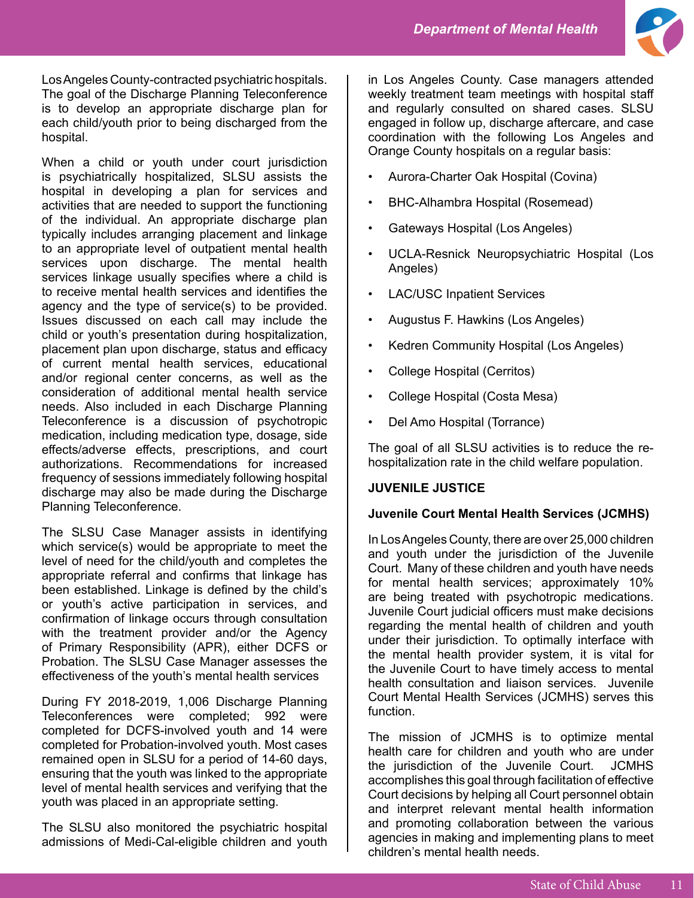

Los Angeles County-contracted psychiatric hospitals. The goal of the Discharge Planning Teleconference is to develop an appropriate discharge plan for each child/youth prior to being discharged from the hospital.

When a child or youth under court jurisdiction is psychiatrically hospitalized, SLSU assists the hospital in developing a plan for services and activities that are needed to support the functioning of the individual. An appropriate discharge plan typically includes arranging placement and linkage to an appropriate level of outpatient mental health services upon discharge. The mental health services linkage usually specifies where a child is to receive mental health services and identifies the agency and the type of service(s) to be provided. Issues discussed on each call may include the child or youth's presentation during hospitalization, placement plan upon discharge, status and efficacy of current mental health services, educational and/or regional center concerns, as well as the consideration of additional mental health service needs. Also included in each Discharge Planning Teleconference is a discussion of psychotropic medication, including medication type, dosage, side effects/adverse effects, prescriptions, and court authorizations. Recommendations for increased frequency of sessions immediately following hospital discharge may also be made during the Discharge Planning Teleconference.

The SLSU Case Manager assists in identifying which service(s) would be appropriate to meet the level of need for the child/youth and completes the appropriate referral and confirms that linkage has been established. Linkage is defined by the child's or youth's active participation in services, and confirmation of linkage occurs through consultation with the treatment provider and/or the Agency of Primary Responsibility (APR), either DCFS or Probation. The SLSU Case Manager assesses the effectiveness of the youth's mental health services

During FY 2018-2019, 1,006 Discharge Planning Teleconferences were completed; 992 were completed for DCFS-involved youth and 14 were completed for Probation-involved youth. Most cases remained open in SLSU for a period of 14-60 days, ensuring that the youth was linked to the appropriate level of mental health services and verifying that the youth was placed in an appropriate setting.

The SLSU also monitored the psychiatric hospital admissions of Medi-Cal-eligible children and youth in Los Angeles County. Case managers attended weekly treatment team meetings with hospital staff and regularly consulted on shared cases. SLSU engaged in follow up, discharge aftercare, and case coordination with the following Los Angeles and Orange County hospitals on a regular basis:

- Aurora-Charter Oak Hospital (Covina)
- BHC-Alhambra Hospital (Rosemead)
- Gateways Hospital (Los Angeles)
- UCLA-Resnick Neuropsychiatric Hospital (Los Angeles)
- LAC/USC Inpatient Services
- Augustus F. Hawkins (Los Angeles)
- Kedren Community Hospital (Los Angeles)
- College Hospital (Cerritos)
- College Hospital (Costa Mesa)
- Del Amo Hospital (Torrance)

The goal of all SLSU activities is to reduce the rehospitalization rate in the child welfare population.

## **JUVENILE JUSTICE**

#### **Juvenile Court Mental Health Services (JCMHS)**

In Los Angeles County, there are over 25,000 children and youth under the jurisdiction of the Juvenile Court. Many of these children and youth have needs for mental health services; approximately 10% are being treated with psychotropic medications. Juvenile Court judicial officers must make decisions regarding the mental health of children and youth under their jurisdiction. To optimally interface with the mental health provider system, it is vital for the Juvenile Court to have timely access to mental health consultation and liaison services. Juvenile Court Mental Health Services (JCMHS) serves this function.

The mission of JCMHS is to optimize mental health care for children and youth who are under the jurisdiction of the Juvenile Court. JCMHS accomplishes this goal through facilitation of effective Court decisions by helping all Court personnel obtain and interpret relevant mental health information and promoting collaboration between the various agencies in making and implementing plans to meet children's mental health needs.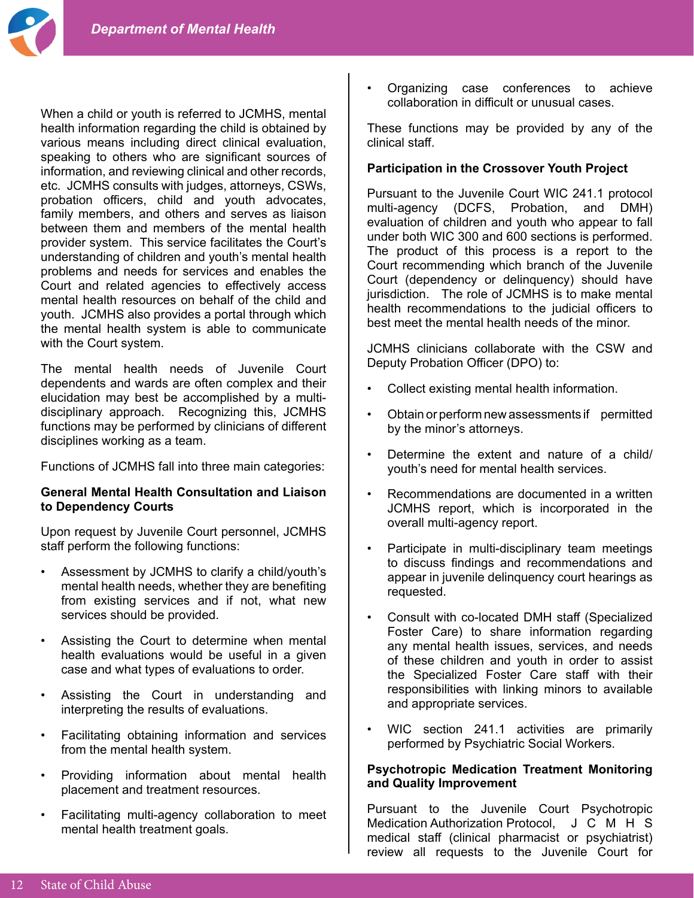When a child or youth is referred to JCMHS, mental health information regarding the child is obtained by various means including direct clinical evaluation, speaking to others who are significant sources of information, and reviewing clinical and other records, etc. JCMHS consults with judges, attorneys, CSWs, probation officers, child and youth advocates, family members, and others and serves as liaison between them and members of the mental health provider system. This service facilitates the Court's understanding of children and youth's mental health problems and needs for services and enables the Court and related agencies to effectively access mental health resources on behalf of the child and youth. JCMHS also provides a portal through which the mental health system is able to communicate with the Court system.

The mental health needs of Juvenile Court dependents and wards are often complex and their elucidation may best be accomplished by a multidisciplinary approach. Recognizing this, JCMHS functions may be performed by clinicians of different disciplines working as a team.

Functions of JCMHS fall into three main categories:

## **General Mental Health Consultation and Liaison to Dependency Courts**

Upon request by Juvenile Court personnel, JCMHS staff perform the following functions:

- Assessment by JCMHS to clarify a child/youth's mental health needs, whether they are benefiting from existing services and if not, what new services should be provided.
- Assisting the Court to determine when mental health evaluations would be useful in a given case and what types of evaluations to order.
- Assisting the Court in understanding and interpreting the results of evaluations.
- Facilitating obtaining information and services from the mental health system.
- Providing information about mental health placement and treatment resources.
- Facilitating multi-agency collaboration to meet mental health treatment goals.

• Organizing case conferences to achieve collaboration in difficult or unusual cases.

These functions may be provided by any of the clinical staff.

## **Participation in the Crossover Youth Project**

Pursuant to the Juvenile Court WIC 241.1 protocol multi-agency (DCFS, Probation, and DMH) evaluation of children and youth who appear to fall under both WIC 300 and 600 sections is performed. The product of this process is a report to the Court recommending which branch of the Juvenile Court (dependency or delinquency) should have jurisdiction. The role of JCMHS is to make mental health recommendations to the judicial officers to best meet the mental health needs of the minor.

JCMHS clinicians collaborate with the CSW and Deputy Probation Officer (DPO) to:

- Collect existing mental health information.
- Obtain or perform new assessments if permitted by the minor's attorneys.
- Determine the extent and nature of a child/ youth's need for mental health services.
- Recommendations are documented in a written JCMHS report, which is incorporated in the overall multi-agency report.
- Participate in multi-disciplinary team meetings to discuss findings and recommendations and appear in juvenile delinquency court hearings as requested.
- Consult with co-located DMH staff (Specialized Foster Care) to share information regarding any mental health issues, services, and needs of these children and youth in order to assist the Specialized Foster Care staff with their responsibilities with linking minors to available and appropriate services.
- WIC section 241.1 activities are primarily performed by Psychiatric Social Workers.

## **Psychotropic Medication Treatment Monitoring and Quality Improvement**

Pursuant to the Juvenile Court Psychotropic Medication Authorization Protocol, J C M H S medical staff (clinical pharmacist or psychiatrist) review all requests to the Juvenile Court for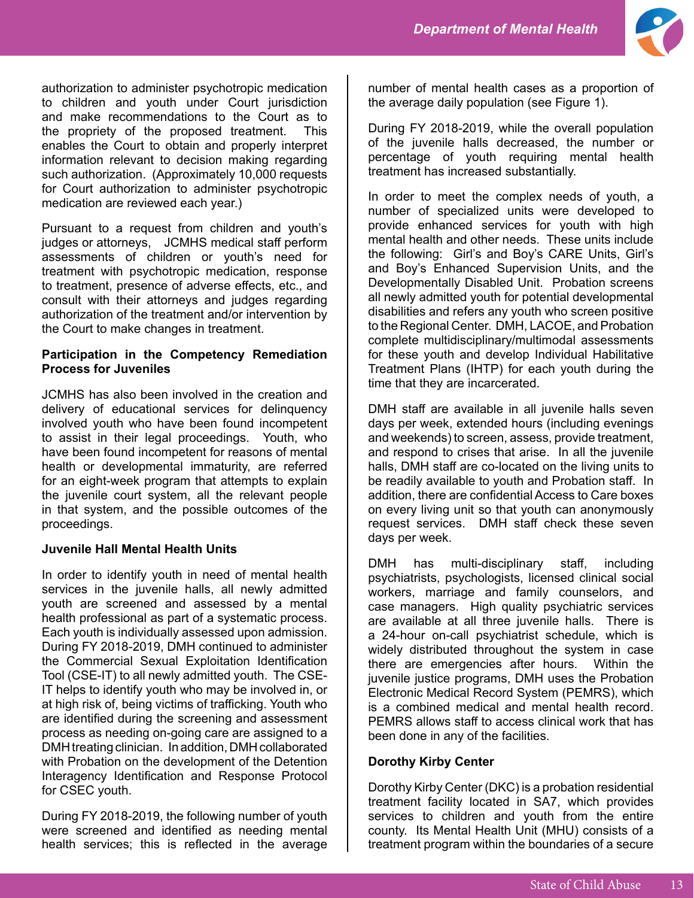

authorization to administer psychotropic medication to children and youth under Court jurisdiction and make recommendations to the Court as to the propriety of the proposed treatment. This enables the Court to obtain and properly interpret information relevant to decision making regarding such authorization. (Approximately 10,000 requests for Court authorization to administer psychotropic medication are reviewed each year.)

Pursuant to a request from children and youth's judges or attorneys, JCMHS medical staff perform assessments of children or youth's need for treatment with psychotropic medication, response to treatment, presence of adverse effects, etc., and consult with their attorneys and judges regarding authorization of the treatment and/or intervention by the Court to make changes in treatment.

## **Participation in the Competency Remediation Process for Juveniles**

JCMHS has also been involved in the creation and delivery of educational services for delinquency involved youth who have been found incompetent to assist in their legal proceedings. Youth, who have been found incompetent for reasons of mental health or developmental immaturity, are referred for an eight-week program that attempts to explain the juvenile court system, all the relevant people in that system, and the possible outcomes of the proceedings.

# **Juvenile Hall Mental Health Units**

In order to identify youth in need of mental health services in the juvenile halls, all newly admitted youth are screened and assessed by a mental health professional as part of a systematic process. Each youth is individually assessed upon admission. During FY 2018-2019, DMH continued to administer the Commercial Sexual Exploitation Identification Tool (CSE-IT) to all newly admitted youth. The CSE-IT helps to identify youth who may be involved in, or at high risk of, being victims of trafficking. Youth who are identified during the screening and assessment process as needing on-going care are assigned to a DMH treating clinician. In addition, DMH collaborated with Probation on the development of the Detention Interagency Identification and Response Protocol for CSEC youth.

During FY 2018-2019, the following number of youth were screened and identified as needing mental health services; this is reflected in the average

number of mental health cases as a proportion of the average daily population (see Figure 1).

During FY 2018-2019, while the overall population of the juvenile halls decreased, the number or percentage of youth requiring mental health treatment has increased substantially.

In order to meet the complex needs of youth, a number of specialized units were developed to provide enhanced services for youth with high mental health and other needs. These units include the following: Girl's and Boy's CARE Units, Girl's and Boy's Enhanced Supervision Units, and the Developmentally Disabled Unit. Probation screens all newly admitted youth for potential developmental disabilities and refers any youth who screen positive to the Regional Center. DMH, LACOE, and Probation complete multidisciplinary/multimodal assessments for these youth and develop Individual Habilitative Treatment Plans (IHTP) for each youth during the time that they are incarcerated.

DMH staff are available in all juvenile halls seven days per week, extended hours (including evenings and weekends) to screen, assess, provide treatment, and respond to crises that arise. In all the juvenile halls, DMH staff are co-located on the living units to be readily available to youth and Probation staff. In addition, there are confidential Access to Care boxes on every living unit so that youth can anonymously request services. DMH staff check these seven days per week.

DMH has multi-disciplinary staff, including psychiatrists, psychologists, licensed clinical social workers, marriage and family counselors, and case managers. High quality psychiatric services are available at all three juvenile halls. There is a 24-hour on-call psychiatrist schedule, which is widely distributed throughout the system in case there are emergencies after hours. Within the juvenile justice programs, DMH uses the Probation Electronic Medical Record System (PEMRS), which is a combined medical and mental health record. PEMRS allows staff to access clinical work that has been done in any of the facilities.

# **Dorothy Kirby Center**

Dorothy Kirby Center (DKC) is a probation residential treatment facility located in SA7, which provides services to children and youth from the entire county. Its Mental Health Unit (MHU) consists of a treatment program within the boundaries of a secure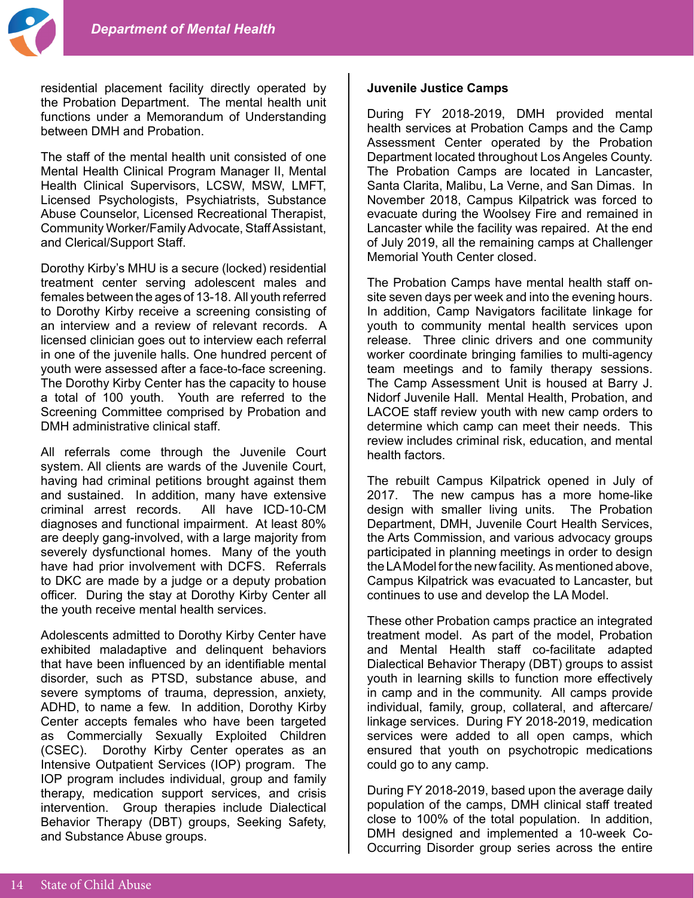residential placement facility directly operated by the Probation Department. The mental health unit functions under a Memorandum of Understanding between DMH and Probation.

The staff of the mental health unit consisted of one Mental Health Clinical Program Manager II, Mental Health Clinical Supervisors, LCSW, MSW, LMFT, Licensed Psychologists, Psychiatrists, Substance Abuse Counselor, Licensed Recreational Therapist, Community Worker/Family Advocate, Staff Assistant, and Clerical/Support Staff.

Dorothy Kirby's MHU is a secure (locked) residential treatment center serving adolescent males and females between the ages of 13-18. All youth referred to Dorothy Kirby receive a screening consisting of an interview and a review of relevant records. A licensed clinician goes out to interview each referral in one of the juvenile halls. One hundred percent of youth were assessed after a face-to-face screening. The Dorothy Kirby Center has the capacity to house a total of 100 youth. Youth are referred to the Screening Committee comprised by Probation and DMH administrative clinical staff.

All referrals come through the Juvenile Court system. All clients are wards of the Juvenile Court, having had criminal petitions brought against them and sustained. In addition, many have extensive criminal arrest records. All have ICD-10-CM diagnoses and functional impairment. At least 80% are deeply gang-involved, with a large majority from severely dysfunctional homes. Many of the youth have had prior involvement with DCFS. Referrals to DKC are made by a judge or a deputy probation officer. During the stay at Dorothy Kirby Center all the youth receive mental health services.

Adolescents admitted to Dorothy Kirby Center have exhibited maladaptive and delinquent behaviors that have been influenced by an identifiable mental disorder, such as PTSD, substance abuse, and severe symptoms of trauma, depression, anxiety, ADHD, to name a few. In addition, Dorothy Kirby Center accepts females who have been targeted as Commercially Sexually Exploited Children (CSEC). Dorothy Kirby Center operates as an Intensive Outpatient Services (IOP) program. The IOP program includes individual, group and family therapy, medication support services, and crisis intervention. Group therapies include Dialectical Behavior Therapy (DBT) groups, Seeking Safety, and Substance Abuse groups.

#### **Juvenile Justice Camps**

During FY 2018-2019, DMH provided mental health services at Probation Camps and the Camp Assessment Center operated by the Probation Department located throughout Los Angeles County. The Probation Camps are located in Lancaster, Santa Clarita, Malibu, La Verne, and San Dimas. In November 2018, Campus Kilpatrick was forced to evacuate during the Woolsey Fire and remained in Lancaster while the facility was repaired. At the end of July 2019, all the remaining camps at Challenger Memorial Youth Center closed.

The Probation Camps have mental health staff onsite seven days per week and into the evening hours. In addition, Camp Navigators facilitate linkage for youth to community mental health services upon release. Three clinic drivers and one community worker coordinate bringing families to multi-agency team meetings and to family therapy sessions. The Camp Assessment Unit is housed at Barry J. Nidorf Juvenile Hall. Mental Health, Probation, and LACOE staff review youth with new camp orders to determine which camp can meet their needs. This review includes criminal risk, education, and mental health factors.

The rebuilt Campus Kilpatrick opened in July of 2017. The new campus has a more home-like design with smaller living units. The Probation Department, DMH, Juvenile Court Health Services, the Arts Commission, and various advocacy groups participated in planning meetings in order to design the LA Model for the new facility. As mentioned above, Campus Kilpatrick was evacuated to Lancaster, but continues to use and develop the LA Model.

These other Probation camps practice an integrated treatment model. As part of the model, Probation and Mental Health staff co-facilitate adapted Dialectical Behavior Therapy (DBT) groups to assist youth in learning skills to function more effectively in camp and in the community. All camps provide individual, family, group, collateral, and aftercare/ linkage services. During FY 2018-2019, medication services were added to all open camps, which ensured that youth on psychotropic medications could go to any camp.

During FY 2018-2019, based upon the average daily population of the camps, DMH clinical staff treated close to 100% of the total population. In addition, DMH designed and implemented a 10-week Co-Occurring Disorder group series across the entire